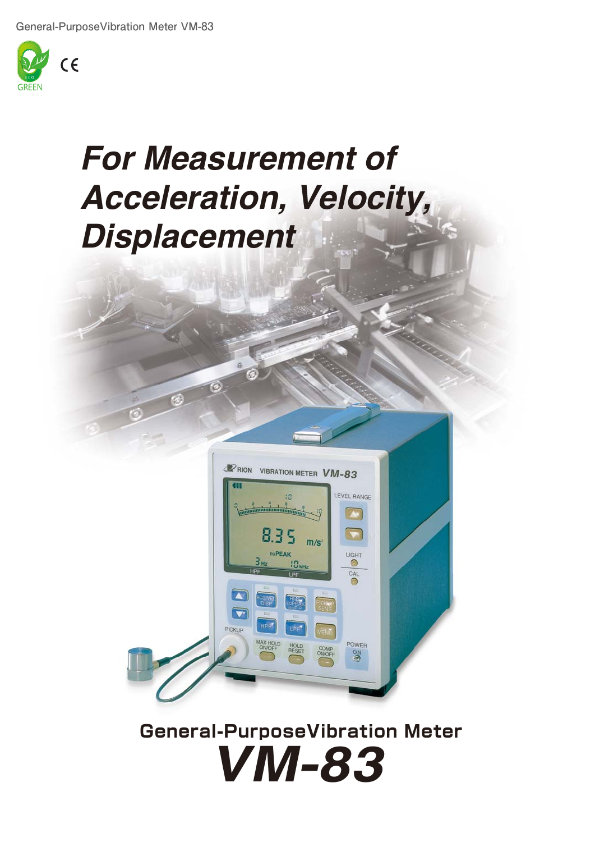

## *For Measurement of Acceleration, Velocity, Displacement*

 $\circ$ 

r.



## *VM-83* **General-PurposeVibration Meter**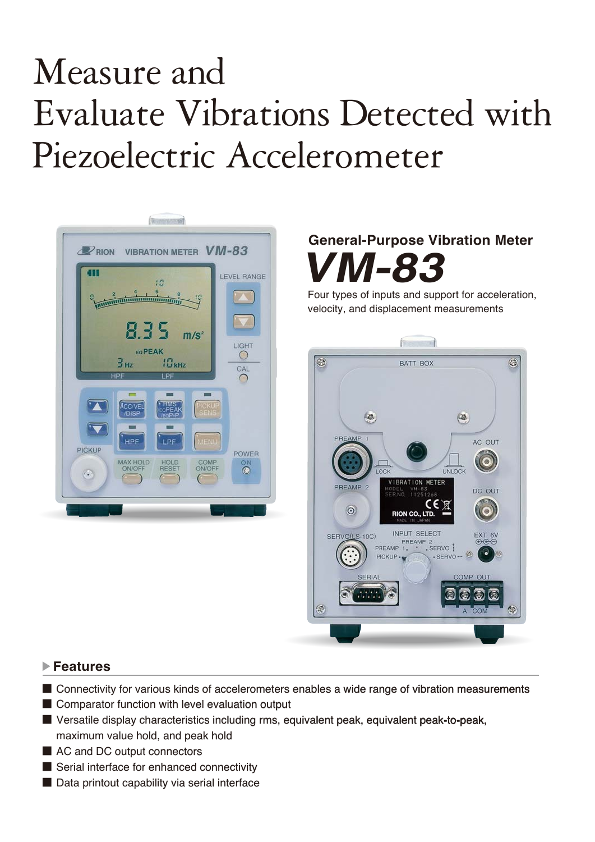# Measure and Evaluate Vibrations Detected with Piezoelectric Accelerometer



### **General-Purpose Vibration Meter**  *VM-83*

Four types of inputs and support for acceleration, velocity, and displacement measurements



#### **Features**

- Connectivity for various kinds of accelerometers enables a wide range of vibration measurements
- Comparator function with level evaluation output
- Versatile display characteristics including rms, equivalent peak, equivalent peak-to-peak, maximum value hold, and peak hold
- AC and DC output connectors
- Serial interface for enhanced connectivity
- Data printout capability via serial interface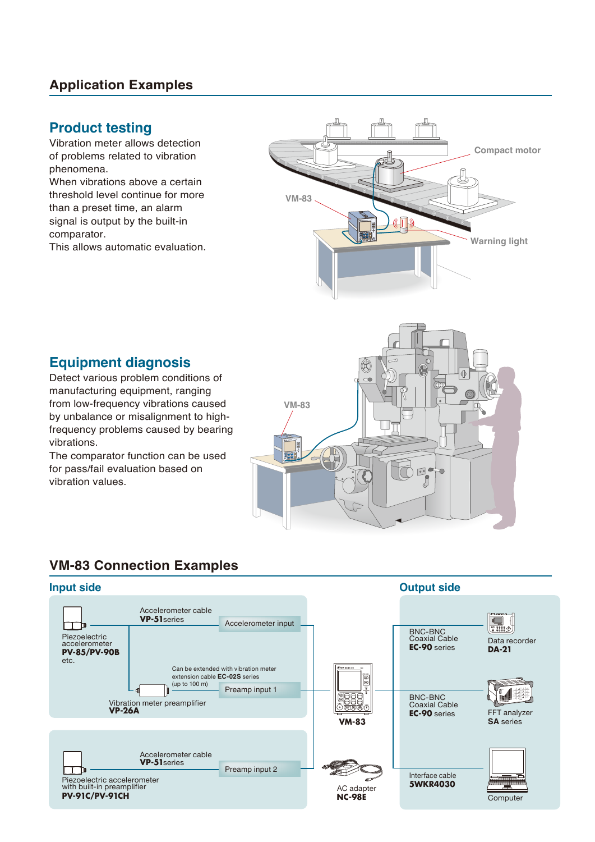#### **Application Examples**

#### **Product testing**

Vibration meter allows detection of problems related to vibration phenomena.

When vibrations above a certain threshold level continue for more than a preset time, an alarm signal is output by the built-in comparator.

This allows automatic evaluation.



#### **Equipment diagnosis**

Detect various problem conditions of manufacturing equipment, ranging from low-frequency vibrations caused by unbalance or misalignment to highfrequency problems caused by bearing vibrations.

The comparator function can be used for pass/fail evaluation based on vibration values.



### **VM-83 Connection Examples**